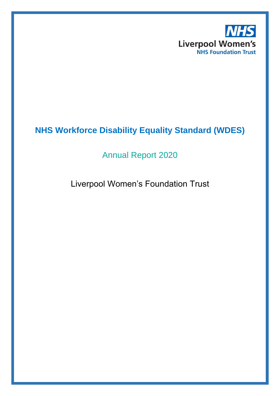

# **NHS Workforce Disability Equality Standard (WDES)**

## Annual Report 2020

## Liverpool Women's Foundation Trust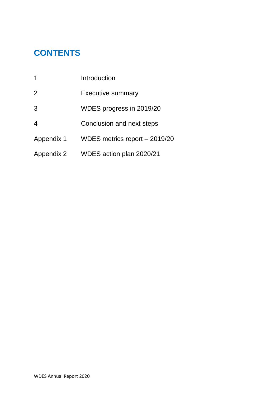# **CONTENTS**

| 1              | Introduction                  |
|----------------|-------------------------------|
| $\overline{2}$ | <b>Executive summary</b>      |
| 3              | WDES progress in 2019/20      |
| 4              | Conclusion and next steps     |
| Appendix 1     | WDES metrics report - 2019/20 |
| Appendix 2     | WDES action plan 2020/21      |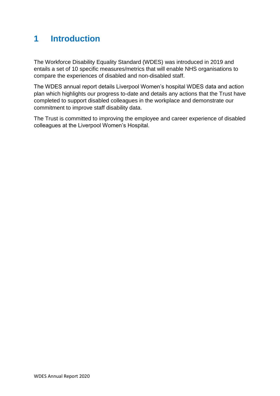## **1 Introduction**

The Workforce Disability Equality Standard (WDES) was introduced in 2019 and entails a set of 10 specific measures/metrics that will enable NHS organisations to compare the experiences of disabled and non-disabled staff.

The WDES annual report details Liverpool Women's hospital WDES data and action plan which highlights our progress to-date and details any actions that the Trust have completed to support disabled colleagues in the workplace and demonstrate our commitment to improve staff disability data.

The Trust is committed to improving the employee and career experience of disabled colleagues at the Liverpool Women's Hospital.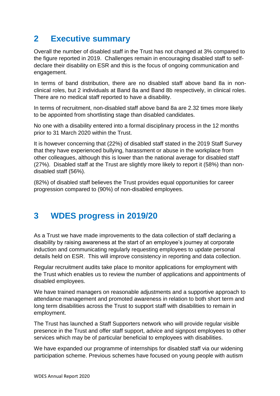## **2 Executive summary**

Overall the number of disabled staff in the Trust has not changed at 3% compared to the figure reported in 2019. Challenges remain in encouraging disabled staff to selfdeclare their disability on ESR and this is the focus of ongoing communication and engagement.

In terms of band distribution, there are no disabled staff above band 8a in nonclinical roles, but 2 individuals at Band 8a and Band 8b respectively, in clinical roles. There are no medical staff reported to have a disability.

In terms of recruitment, non-disabled staff above band 8a are 2.32 times more likely to be appointed from shortlisting stage than disabled candidates.

No one with a disability entered into a formal disciplinary process in the 12 months prior to 31 March 2020 within the Trust.

It is however concerning that (22%) of disabled staff stated in the 2019 Staff Survey that they have experienced bullying, harassment or abuse in the workplace from other colleagues, although this is lower than the national average for disabled staff (27%). Disabled staff at the Trust are slightly more likely to report it (58%) than nondisabled staff (56%).

(82%) of disabled staff believes the Trust provides equal opportunities for career progression compared to (90%) of non-disabled employees.

## **3 WDES progress in 2019/20**

As a Trust we have made improvements to the data collection of staff declaring a disability by raising awareness at the start of an employee's journey at corporate induction and communicating regularly requesting employees to update personal details held on ESR. This will improve consistency in reporting and data collection.

Regular recruitment audits take place to monitor applications for employment with the Trust which enables us to review the number of applications and appointments of disabled employees.

We have trained managers on reasonable adjustments and a supportive approach to attendance management and promoted awareness in relation to both short term and long term disabilities across the Trust to support staff with disabilities to remain in employment.

The Trust has launched a Staff Supporters network who will provide regular visible presence in the Trust and offer staff support, advice and signpost employees to other services which may be of particular beneficial to employees with disabilities.

We have expanded our programme of internships for disabled staff via our widening participation scheme. Previous schemes have focused on young people with autism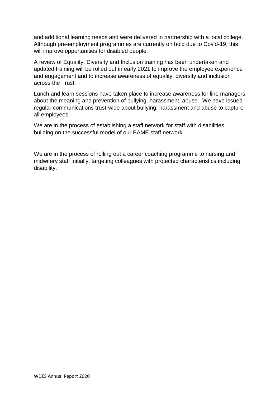and additional learning needs and were delivered in partnership with a local college. Although pre-employment programmes are currently on hold due to Covid-19, this will improve opportunities for disabled people.

A review of Equality, Diversity and Inclusion training has been undertaken and updated training will be rolled out in early 2021 to improve the employee experience and engagement and to increase awareness of equality, diversity and inclusion across the Trust.

Lunch and learn sessions have taken place to increase awareness for line managers about the meaning and prevention of bullying, harassment, abuse. We have issued regular communications trust-wide about bullying, harassment and abuse to capture all employees.

We are in the process of establishing a staff network for staff with disabilities, building on the successful model of our BAME staff network.

We are in the process of rolling out a career coaching programme to nursing and midwifery staff initially, targeting colleagues with protected characteristics including disability.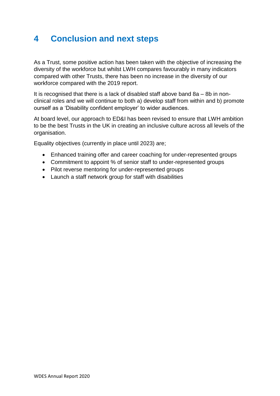## **4 Conclusion and next steps**

As a Trust, some positive action has been taken with the objective of increasing the diversity of the workforce but whilst LWH compares favourably in many indicators compared with other Trusts, there has been no increase in the diversity of our workforce compared with the 2019 report.

It is recognised that there is a lack of disabled staff above band 8a – 8b in nonclinical roles and we will continue to both a) develop staff from within and b) promote ourself as a 'Disability confident employer' to wider audiences.

At board level, our approach to ED&I has been revised to ensure that LWH ambition to be the best Trusts in the UK in creating an inclusive culture across all levels of the organisation.

Equality objectives (currently in place until 2023) are;

- Enhanced training offer and career coaching for under-represented groups
- Commitment to appoint % of senior staff to under-represented groups
- Pilot reverse mentoring for under-represented groups
- Launch a staff network group for staff with disabilities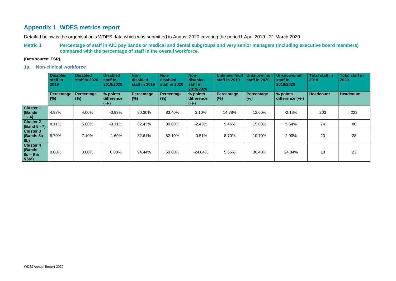## **Appendix 1 WDES metrics report**

Detailed below is the organisation's WDES data which was submitted in August 2020 covering the period1 April 2019– 31 March 2020

**Metric 1 Percentage of staff in AfC pay bands or medical and dental subgroups and very senior managers (including executive board members) compared with the percentage of staff in the overall workforce.** 

### **(Data source: ESR).**

**1a. Non-clinical workforce**

|                                                   | <b>Disabled</b><br>staff in<br>2019 | <b>Disabled</b><br>staff in 2020 | <b>Disabled</b><br>staff in<br>2019/2020 | Non-<br>disabled<br>staff in 2019 | Non-<br>disabled<br>staff in 2020 | Non-<br>disabled<br>staff in<br>2019/2020 | Unknown/null<br>staff in 2019 | Unknown/null<br>staff in 2020 | Unknown/null<br>staff in<br>2019/2020 | <b>Total staff in</b><br>2019 | <b>Total staff in</b><br>2020 |
|---------------------------------------------------|-------------------------------------|----------------------------------|------------------------------------------|-----------------------------------|-----------------------------------|-------------------------------------------|-------------------------------|-------------------------------|---------------------------------------|-------------------------------|-------------------------------|
|                                                   | Percentage<br>(%)                   | Percentage<br>(%)                | % points<br>difference<br>$(+/-)$        | Percentage<br>(% )                | Percentage<br>(% )                | % points<br>difference<br>$(+/-)$         | Percentage<br>(% )            | Percentage<br>(%)             | % points<br>difference $(+/-)$        | <b>Headcount</b>              | <b>Headcount</b>              |
| <b>Cluster 1</b><br>(Bands)<br>$1 - 4$            | 4.93%                               | 4.00%                            | $-0.93%$                                 | 80.30%                            | 83.40%                            | 3.10%                                     | 14.78%                        | 12.60%                        | $-2.18%$                              | 203                           | 223                           |
| <b>Cluster 2</b><br>(Band 5 - 7)                  | 8.11%                               | 5.00%                            | $-3.11%$                                 | 82.43%                            | 80.00%                            | $-2.43%$                                  | 9.46%                         | 15.00%                        | 5.54%                                 | 74                            | 80                            |
| <b>Cluster 3</b><br>(Bands 8a -<br>8 <sub>b</sub> | 8.70%                               | 7.10%                            | $-1.60%$                                 | 82.61%                            | 82.10%                            | $-0.51%$                                  | 8.70%                         | 10.70%                        | 2.00%                                 | 23                            | 28                            |
| <b>Cluster 4</b><br>(Bands)<br>$8c - 9 &$<br>VSM) | $0.00\%$                            | $0.00\%$                         | 0.00%                                    | 94.44%                            | 69.60%                            | $-24.84%$                                 | 5.56%                         | 30.40%                        | 24.84%                                | 18                            | 23                            |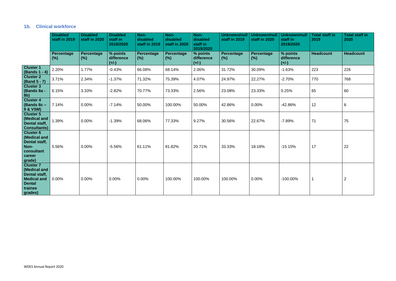### **1b. Clinical workforce**

|                                                                                                                       | <b>Disabled</b><br>staff in 2019 | <b>Disabled</b><br>staff in 2020 | <b>Disabled</b><br>staff in<br>2019/2020 | Non-<br>disabled<br>staff in 2019 | Non-<br>disabled<br>staff in 2020 | Non-<br>disabled<br>staff in<br>2019/2020 | <b>Unknown/null</b><br>staff in 2019 | <b>Unknown/nul</b><br>staff in 2020 | <b>Unknown/null</b><br>staff in<br>2019/2020 | <b>Total staff in</b><br>2019 | <b>Total staff in</b><br>2020 |
|-----------------------------------------------------------------------------------------------------------------------|----------------------------------|----------------------------------|------------------------------------------|-----------------------------------|-----------------------------------|-------------------------------------------|--------------------------------------|-------------------------------------|----------------------------------------------|-------------------------------|-------------------------------|
|                                                                                                                       | Percentage<br>(%)                | <b>Percentage</b><br>(% )        | % points<br>difference<br>$(+/-)$        | <b>Percentage</b><br>$(\%)$       | <b>Percentage</b><br>(% )         | % points<br>difference<br>$(+/-)$         | <b>Percentage</b><br>(%)             | <b>Percentage</b><br>(%)            | % points<br>difference<br>$(+/-)$            | <b>Headcount</b>              | <b>Headcount</b>              |
| <b>Cluster 1</b><br>(Bands 1 - 4)                                                                                     | 2.20%                            | 1.77%                            | $-0.43%$                                 | 66.08%                            | 68.14%                            | 2.06%                                     | 31.72%                               | 30.09%                              | $-1.63%$                                     | 223                           | 226                           |
| <b>Cluster 2</b><br>(Band 5 - 7)                                                                                      | 3.71%                            | 2.34%                            | $-1.37%$                                 | 71.32%                            | 75.39%                            | 4.07%                                     | 24.97%                               | 22.27%                              | $-2.70%$                                     | 770                           | 768                           |
| <b>Cluster 3</b><br>(Bands 8a -<br>8b)                                                                                | 6.15%                            | 3.33%                            | $-2.82%$                                 | 70.77%                            | 73.33%                            | 2.56%                                     | 23.08%                               | 23.33%                              | 0.25%                                        | 65                            | 60                            |
| <b>Cluster 4</b><br>(Bands 8c -<br><b>9 &amp; VSM)</b>                                                                | 7.14%                            | 0.00%                            | $-7.14%$                                 | 50.00%                            | 100.00%                           | 50.00%                                    | 42.86%                               | 0.00%                               | $-42.86%$                                    | 12                            | 6                             |
| <b>Cluster 5</b><br>(Medical and<br>Dental staff,<br><b>Consultants)</b>                                              | 1.39%                            | 0.00%                            | $-1.39%$                                 | 68.06%                            | 77.33%                            | 9.27%                                     | 30.56%                               | 22.67%                              | $-7.89%$                                     | 71                            | 75                            |
| <b>Cluster 6</b><br>(Medical and<br>Dental staff,<br>Non-<br>consultant<br>career<br>grade)                           | 5.56%                            | 0.00%                            | $-5.56%$                                 | 61.11%                            | 81.82%                            | 20.71%                                    | 33.33%                               | 18.18%                              | $-15.15%$                                    | 17                            | 22                            |
| <b>Cluster 7</b><br>(Medical and<br><b>Dental staff,</b><br><b>Medical and</b><br><b>Dental</b><br>trainee<br>grades) | 0.00%                            | 0.00%                            | 0.00%                                    | 0.00%                             | 100.00%                           | 100.00%                                   | 100.00%                              | 0.00%                               | $-100.00\%$                                  | -1                            | 2                             |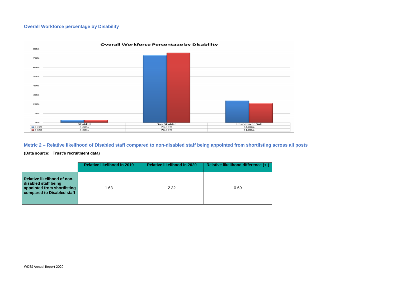### **Overall Workforce percentage by Disability**



**Metric 2 – Relative likelihood of Disabled staff compared to non-disabled staff being appointed from shortlisting across all posts**

**(Data source: Trust's recruitment data)**

|                                                                                                                         | <b>Relative likelihood in 2019</b> | <b>Relative likelihood in 2020</b> | Relative likelihood difference (+-) |
|-------------------------------------------------------------------------------------------------------------------------|------------------------------------|------------------------------------|-------------------------------------|
| <b>Relative likelihood of non-</b><br>disabled staff being<br>appointed from shortlisting<br>compared to Disabled staff | 1.63                               | 2.32                               | 0.69                                |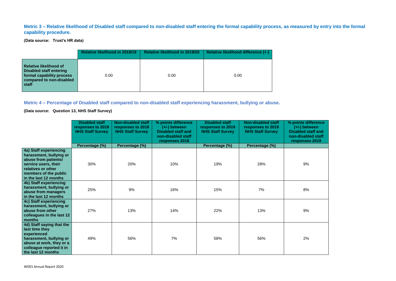### **Metric 3 – Relative likelihood of Disabled staff compared to non-disabled staff entering the formal capability process, as measured by entry into the formal capability procedure.**

**(Data source: Trust's HR data)**

|                                                                                                                                   | <b>Relative likelihood in 2018/19</b> | <b>Relative likelihood in 2019/20</b> | Relative likelihood difference (+-) |
|-----------------------------------------------------------------------------------------------------------------------------------|---------------------------------------|---------------------------------------|-------------------------------------|
| <b>Relative likelihood of</b><br><b>Disabled staff entering</b><br>formal capability process<br>compared to non-disabled<br>staff | 0.00                                  | 0.00                                  | 0.00                                |

### **Metric 4 – Percentage of Disabled staff compared to non-disabled staff experiencing harassment, bullying or abuse.**

**(Data source: Question 13, NHS Staff Survey)**

| % points difference<br>$(+/-)$ between<br><b>Disabled staff and</b><br>non-disabled staff<br>responses 2019 |
|-------------------------------------------------------------------------------------------------------------|
| 9%                                                                                                          |
| 8%                                                                                                          |
| 9%                                                                                                          |
| 2%                                                                                                          |

|                                                                                                                                                                           | <b>Disabled staff</b><br>responses to 2018<br><b>NHS Staff Survey</b> | <b>Non-disabled staff</b><br>responses to 2018<br><b>NHS Staff Survey</b> | % points difference<br>$(+/-)$ between<br><b>Disabled staff and</b><br>non-disabled staff<br>responses 2018 | <b>Disabled staff</b><br>responses to 2019<br><b>NHS Staff Survey</b> | <b>Non-disabled staff</b><br>responses to 2019<br><b>NHS Staff Survey</b> | % points di<br>$(+/-)$ bet<br><b>Disabled s</b><br>non-disabl<br>response |
|---------------------------------------------------------------------------------------------------------------------------------------------------------------------------|-----------------------------------------------------------------------|---------------------------------------------------------------------------|-------------------------------------------------------------------------------------------------------------|-----------------------------------------------------------------------|---------------------------------------------------------------------------|---------------------------------------------------------------------------|
|                                                                                                                                                                           | Percentage (%)                                                        | Percentage (%)                                                            |                                                                                                             | Percentage (%)                                                        | Percentage (%)                                                            |                                                                           |
| 4a) Staff experiencing<br>harassment, bullying or<br>abuse from patients/<br>service users, their<br>relatives or other<br>members of the public<br>in the last 12 months | 30%                                                                   | 20%                                                                       | 10%                                                                                                         | 19%                                                                   | 28%                                                                       | 9%                                                                        |
| 4b) Staff experiencing<br>harassment, bullying or<br>abuse from managers<br>in the last 12 months                                                                         | 25%                                                                   | 9%                                                                        | 16%                                                                                                         | 15%                                                                   | 7%                                                                        | 8%                                                                        |
| 4c) Staff experiencing<br>harassment, bullying or<br>abuse from other<br>colleagues in the last 12<br>months                                                              | 27%                                                                   | 13%                                                                       | 14%                                                                                                         | 22%                                                                   | 13%                                                                       | 9%                                                                        |
| 4d) Staff saying that the<br>last time they<br>experienced<br>harassment, bullying or<br>abuse at work, they or a<br>colleague reported it in<br>the last 12 months       | 49%                                                                   | 56%                                                                       | 7%                                                                                                          | 58%                                                                   | 56%                                                                       | 2%                                                                        |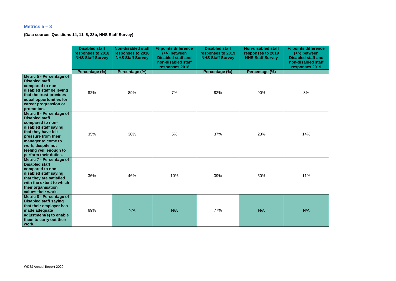### **Metrics 5 – 8**

**(Data source: Questions 14, 11, 5, 28b, NHS Staff Survey)**

| % points difference<br>$(+/-)$ between<br><b>Disabled staff and</b><br>non-disabled staff<br>responses 2019 |  |  |  |  |  |  |  |  |
|-------------------------------------------------------------------------------------------------------------|--|--|--|--|--|--|--|--|
| 8%                                                                                                          |  |  |  |  |  |  |  |  |
| 14%                                                                                                         |  |  |  |  |  |  |  |  |
| 11%                                                                                                         |  |  |  |  |  |  |  |  |
| N/A                                                                                                         |  |  |  |  |  |  |  |  |

|                                                                                                                                                                                                                                            | <b>Disabled staff</b><br>responses to 2018<br><b>NHS Staff Survey</b> | <b>Non-disabled staff</b><br>responses to 2018<br><b>NHS Staff Survey</b> | % points difference<br>$(+/-)$ between<br><b>Disabled staff and</b><br>non-disabled staff<br>responses 2018 | <b>Disabled staff</b><br>responses to 2019<br><b>NHS Staff Survey</b> | <b>Non-disabled staff</b><br>responses to 2019<br><b>NHS Staff Survey</b> | % points dif<br>$(+/-)$ bety<br><b>Disabled st</b><br>non-disable<br><b>responses</b> |
|--------------------------------------------------------------------------------------------------------------------------------------------------------------------------------------------------------------------------------------------|-----------------------------------------------------------------------|---------------------------------------------------------------------------|-------------------------------------------------------------------------------------------------------------|-----------------------------------------------------------------------|---------------------------------------------------------------------------|---------------------------------------------------------------------------------------|
|                                                                                                                                                                                                                                            | Percentage (%)                                                        | Percentage (%)                                                            |                                                                                                             | Percentage (%)                                                        | Percentage (%)                                                            |                                                                                       |
| <b>Metric 5 - Percentage of</b><br><b>Disabled staff</b><br>compared to non-<br>disabled staff believing<br>that the trust provides<br>equal opportunities for<br>career progression or<br>promotion.                                      | 82%                                                                   | 89%                                                                       | 7%                                                                                                          | 82%                                                                   | 90%                                                                       | 8%                                                                                    |
| Metric 6 - Percentage of<br><b>Disabled staff</b><br>compared to non-<br>disabled staff saying<br>that they have felt<br>pressure from their<br>manager to come to<br>work, despite not<br>feeling well enough to<br>perform their duties. | 35%                                                                   | 30%                                                                       | 5%                                                                                                          | 37%                                                                   | 23%                                                                       | 14%                                                                                   |
| <b>Metric 7 - Percentage of</b><br><b>Disabled staff</b><br>compared to non-<br>disabled staff saying<br>that they are satisfied<br>with the extent to which<br>their organisation<br>values their work.                                   | 36%                                                                   | 46%                                                                       | 10%                                                                                                         | 39%                                                                   | 50%                                                                       | 11%                                                                                   |
| Metric 8 - Percentage of<br><b>Disabled staff saying</b><br>that their employer has<br>made adequate<br>adjustment(s) to enable<br>them to carry out their<br>work.                                                                        | 69%                                                                   | N/A                                                                       | N/A                                                                                                         | 77%                                                                   | N/A                                                                       | N/A                                                                                   |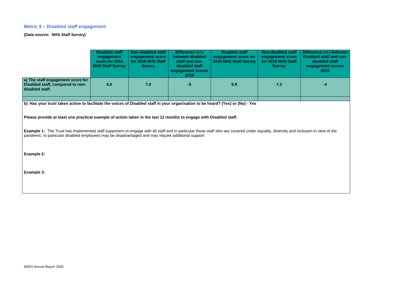### **Metric 9 – Disabled staff engagement**

**(Data source: NHS Staff Survey)**



nclusion in view of the

|                                                                                                                                                                                                                                                                                            | <b>Disabled staff</b><br>engagement<br>score for 2018<br><b>NHS Staff Survey</b> | Non-disabled staff<br>engagement score<br>for 2018 NHS Staff<br><b>Survey</b> | Difference (+/-)<br>between disabled<br>staff and non-<br>disabled staff<br>engagement scores<br>2018 | <b>Disabled staff</b><br>engagement score for<br><b>2019 NHS Staff Survey</b> | <b>Non-disabled staff</b><br>engagement score<br>for 2019 NHS Staff<br><b>Survey</b> | Difference (+<br><b>Disabled sta</b><br>disable<br>engageme<br><b>201</b> |
|--------------------------------------------------------------------------------------------------------------------------------------------------------------------------------------------------------------------------------------------------------------------------------------------|----------------------------------------------------------------------------------|-------------------------------------------------------------------------------|-------------------------------------------------------------------------------------------------------|-------------------------------------------------------------------------------|--------------------------------------------------------------------------------------|---------------------------------------------------------------------------|
| a) The staff engagement score for<br>Disabled staff, compared to non-<br>disabled staff.                                                                                                                                                                                                   | 6.5                                                                              | 7.0                                                                           | $-5$                                                                                                  | 6.9                                                                           | 7.3                                                                                  |                                                                           |
|                                                                                                                                                                                                                                                                                            |                                                                                  |                                                                               |                                                                                                       |                                                                               |                                                                                      |                                                                           |
| b) Has your trust taken action to facilitate the voices of Disabled staff in your organisation to be heard? (Yes) or (No) - Yes                                                                                                                                                            |                                                                                  |                                                                               |                                                                                                       |                                                                               |                                                                                      |                                                                           |
| Please provide at least one practical example of action taken in the last 12 months to engage with Disabled staff.                                                                                                                                                                         |                                                                                  |                                                                               |                                                                                                       |                                                                               |                                                                                      |                                                                           |
| <b>Example 1:</b> The Trust has implemented staff supporters to engage with all staff and in particular those staff who are covered under equality, diversity and inclusion in view<br>pandemic, in particular disabled employees may be disadvantaged and may require additional support. |                                                                                  |                                                                               |                                                                                                       |                                                                               |                                                                                      |                                                                           |
| Example 2:                                                                                                                                                                                                                                                                                 |                                                                                  |                                                                               |                                                                                                       |                                                                               |                                                                                      |                                                                           |
|                                                                                                                                                                                                                                                                                            |                                                                                  |                                                                               |                                                                                                       |                                                                               |                                                                                      |                                                                           |
| <b>Example 3:</b>                                                                                                                                                                                                                                                                          |                                                                                  |                                                                               |                                                                                                       |                                                                               |                                                                                      |                                                                           |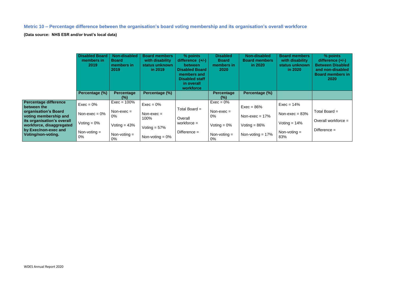**Metric 10 – Percentage difference between the organisation's board voting membership and its organisation's overall workforce**

**(Data source: NHS ESR and/or trust's local data)**

|                                                                                                      | <b>Disabled Board</b><br>members in<br>2019 | Non-disabled<br><b>Board</b><br>members in<br>2019 | <b>Board members</b><br>with disability<br>status unknown<br>in 2019 | % points<br>difference $(+/-)$<br><b>between</b><br><b>Disabled Board</b><br>members and<br><b>Disabled staff</b><br>in overall<br>workforce | <b>Disabled</b><br><b>Board</b><br>members in<br>2020 | Non-disabled<br><b>Board members</b><br>in 2020 | <b>Board members</b><br>with disability<br>status unknown<br>in 2020 | % points<br>difference $(+/-)$<br><b>Between Disabled</b><br>and non-disabled<br><b>Board members in</b><br><b>2020</b> |
|------------------------------------------------------------------------------------------------------|---------------------------------------------|----------------------------------------------------|----------------------------------------------------------------------|----------------------------------------------------------------------------------------------------------------------------------------------|-------------------------------------------------------|-------------------------------------------------|----------------------------------------------------------------------|-------------------------------------------------------------------------------------------------------------------------|
|                                                                                                      | Percentage (%)                              | Percentage<br>(% )                                 | Percentage (%)                                                       |                                                                                                                                              | Percentage<br>(% )                                    | Percentage (%)                                  |                                                                      |                                                                                                                         |
| <b>Percentage difference</b><br>between the                                                          | $Exec = 0\%$                                | $Exec = 100%$                                      | $Exec = 0%$                                                          |                                                                                                                                              | $Exec = 0\%$                                          | $Exec = 86%$                                    | $Exec = 14%$                                                         |                                                                                                                         |
| organisation's Board<br>voting membership and                                                        | Non-exec = $0\%$                            | Non-exec $=$<br>0%                                 | $Non-exec =$<br>100%                                                 | Total Board $=$<br>Overall                                                                                                                   | $Non-exec =$<br>$0\%$                                 | Non-exec = $17%$                                | Non-exec = $83\%$                                                    | Total Board $=$                                                                                                         |
| its organisation's overall<br>workforce, disaggregated<br>by Exec/non-exec and<br>Voting/non-voting. | Voting $= 0\%$                              | Voting $= 43\%$                                    | Voting $= 57\%$                                                      | workforce $=$                                                                                                                                | Voting $= 0\%$                                        | Voting $= 86\%$                                 | Voting $= 14\%$                                                      | Overall workforce $=$                                                                                                   |
|                                                                                                      | Non-voting $=$<br>$0\%$                     | Non-voting $=$<br>0%                               | Non-voting $= 0\%$                                                   | Difference $=$                                                                                                                               | Non-voting $=$<br>0%                                  | Non-voting $= 17\%$                             | Non-voting $=$<br>83%                                                | Difference $=$                                                                                                          |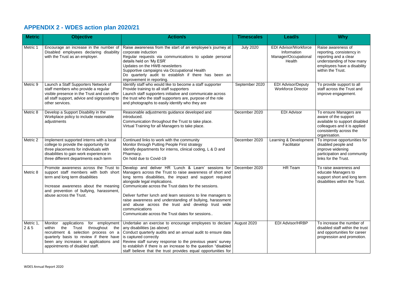# **APPENDIX 2 - WDES action plan 2020/21**

| <b>Metric</b>      | <b>Objective</b>                                                                                                                                                                                                                                        | <b>Action/s</b>                                                                                                                                                                                                                                                                                                                                                                                                                                                                                                                                                    | <b>Timescales</b> | Lead/s                                                                        | <b>Why</b>                                                                                                                                                  |
|--------------------|---------------------------------------------------------------------------------------------------------------------------------------------------------------------------------------------------------------------------------------------------------|--------------------------------------------------------------------------------------------------------------------------------------------------------------------------------------------------------------------------------------------------------------------------------------------------------------------------------------------------------------------------------------------------------------------------------------------------------------------------------------------------------------------------------------------------------------------|-------------------|-------------------------------------------------------------------------------|-------------------------------------------------------------------------------------------------------------------------------------------------------------|
| Metric 1           | Encourage an increase in the number of<br>Disabled employees declaring disability<br>with the Trust as an employer.                                                                                                                                     | Raise awareness from the start of an employee's journey at<br>corporate induction<br>Regular requests via communications to update personal<br>details held on 'My ESR'<br>Updates on the HWB newsletters<br>Supportive campaigns via Occupational Health<br>Do quarterly audit to establish if there has been an<br>improvement in reporting.                                                                                                                                                                                                                     | <b>July 2020</b>  | <b>EDI Advisor/Workforce</b><br>Information<br>Manager/Occupational<br>Health | Raise awareness of<br>reporting, consistency in<br>reporting and a clear<br>understanding of how many<br>employees have a disability<br>within the Trust.   |
| Metric 9           | Launch a Staff Supporters Network of<br>staff members who provide a regular<br>visible presence in the Trust and can offer<br>all staff support, advice and signposting to<br>other services.                                                           | Identify staff who would like to become a staff supporter<br>Provide training to all staff supporters<br>Launch staff supporters initiative and communicate across<br>the trust who the staff supporters are, purpose of the role<br>and photographs to easily identify who they are                                                                                                                                                                                                                                                                               | September 2020    | <b>EDI Advisor/Deputy</b><br><b>Workforce Director</b>                        | To provide support to all<br>staff across the Trust and<br>improve engagement.                                                                              |
| Metric 8           | Develop a Support Disability in the<br>Workplace policy to include reasonable<br>adjustments                                                                                                                                                            | Reasonable adjustments guidance developed and<br>introduced.<br>Communication throughout the Trust to take place.<br>Virtual Training for all Managers to take place.                                                                                                                                                                                                                                                                                                                                                                                              | December 2020     | <b>EDI Advisor</b>                                                            | To ensure Managers are<br>aware of the support<br>available to support disabled<br>colleagues and it is applied<br>consistently across the<br>organisation. |
| Metric 2           | Implement supported interns with a local<br>college to provide the opportunity for<br>three placements for individuals with<br>disabilities to gain work experience in<br>three different departments each term                                         | Continued links to work with the community<br>Monitor through Putting People First strategy<br>Identify departments for interns, clinical coding, L & D and<br>Pharmacy.<br>On hold due to Covid-19                                                                                                                                                                                                                                                                                                                                                                | December 2020     | Learning & Development<br>Facilitator                                         | To improve opportunities for<br>disabled people and<br>improve widening<br>participation and community<br>links for the Trust.                              |
| Metric 8           | support staff members with both short<br>term and long term disabilities<br>Increase awareness about the meaning<br>and prevention of bullying, harassment,<br>abuse across the Trust.                                                                  | Promote awareness across the Trust to Develop and deliver HR 'Lunch & Learn' sessions for<br>Managers across the Trust to raise awareness of short and<br>long terms disabilities, the impact and support required<br>alongside legal implications.<br>Communicate across the Trust dates for the sessions.<br>Deliver further lunch and learn sessions to line managers to<br>raise awareness and understanding of bullying, harassment<br>and abuse across the trust and develop trust wide<br>communications<br>Communicate across the Trust dates for sessions | December 2020     | <b>HR Team</b>                                                                | To raise awareness and<br>educate Managers to<br>support short and long term<br>disabilities within the Trust.                                              |
| Metric 1,<br>2 & 5 | Monitor<br>applications for employment<br>within<br>the $\overline{r}$ Trust throughout the $\vert$ any disabilities (as above)<br>quarterly basis to review if there have<br>been any increases in applications and<br>appointments of disabled staff. | Undertake an exercise to encourage employees to declare   August 2020<br>recruitment & selection process on $a  $ Conduct quarterly audits and an annual audit to ensure data<br>is captured correctly<br>Review staff survey response to the previous years' survey<br>to establish if there is an increase to the question "disabled"<br>staff believe that the trust provides equal opportunities for                                                                                                                                                           |                   | <b>EDI Advisor/HRBP</b>                                                       | To increase the number of<br>disabled staff within the trust<br>and opportunities for career<br>progression and promotion.                                  |